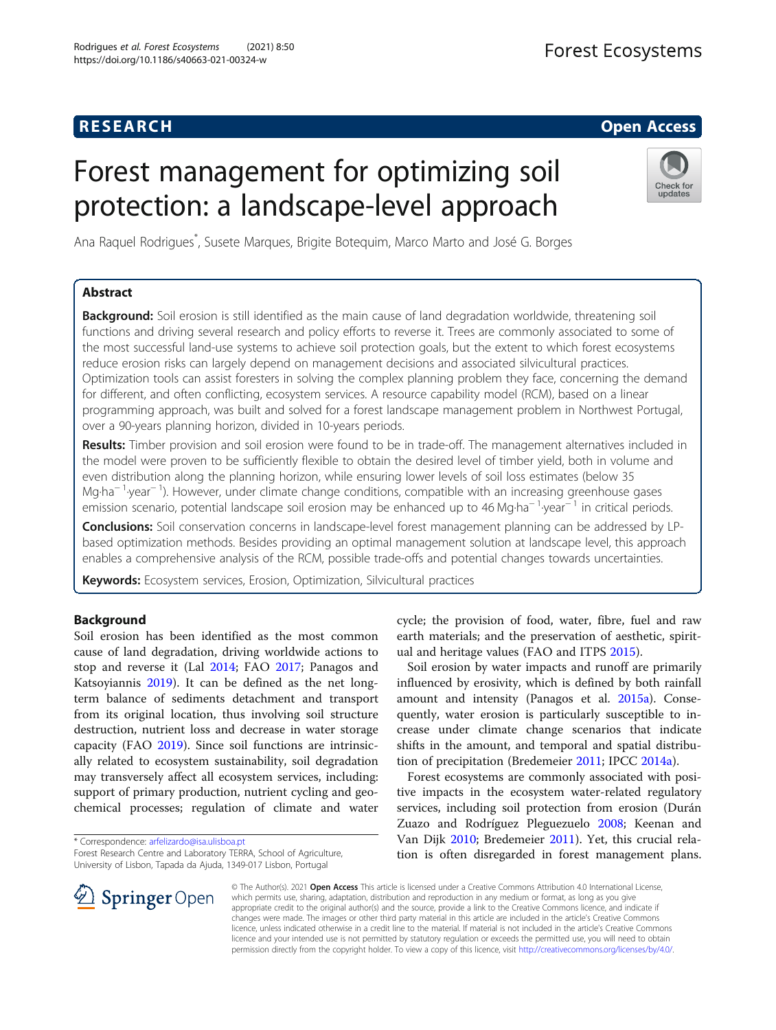# **RESEARCH CHE Open Access**

# Forest management for optimizing soil protection: a landscape-level approach



Ana Raquel Rodrigues\* , Susete Marques, Brigite Botequim, Marco Marto and José G. Borges

# Abstract

**Background:** Soil erosion is still identified as the main cause of land degradation worldwide, threatening soil functions and driving several research and policy efforts to reverse it. Trees are commonly associated to some of the most successful land-use systems to achieve soil protection goals, but the extent to which forest ecosystems reduce erosion risks can largely depend on management decisions and associated silvicultural practices. Optimization tools can assist foresters in solving the complex planning problem they face, concerning the demand for different, and often conflicting, ecosystem services. A resource capability model (RCM), based on a linear programming approach, was built and solved for a forest landscape management problem in Northwest Portugal, over a 90-years planning horizon, divided in 10-years periods.

Results: Timber provision and soil erosion were found to be in trade-off. The management alternatives included in the model were proven to be sufficiently flexible to obtain the desired level of timber yield, both in volume and even distribution along the planning horizon, while ensuring lower levels of soil loss estimates (below 35 Mg⋅ha<sup>- 1</sup>⋅year<sup>- 1</sup>). However, under climate change conditions, compatible with an increasing greenhouse gases emission scenario, potential landscape soil erosion may be enhanced up to 46 Mg⋅ha<sup>- 1</sup> year<sup>-1</sup> in critical periods.

Conclusions: Soil conservation concerns in landscape-level forest management planning can be addressed by LPbased optimization methods. Besides providing an optimal management solution at landscape level, this approach enables a comprehensive analysis of the RCM, possible trade-offs and potential changes towards uncertainties.

Keywords: Ecosystem services, Erosion, Optimization, Silvicultural practices

# Background

Soil erosion has been identified as the most common cause of land degradation, driving worldwide actions to stop and reverse it (Lal [2014;](#page-11-0) FAO [2017](#page-11-0); Panagos and Katsoyiannis [2019](#page-12-0)). It can be defined as the net longterm balance of sediments detachment and transport from its original location, thus involving soil structure destruction, nutrient loss and decrease in water storage capacity (FAO [2019\)](#page-11-0). Since soil functions are intrinsically related to ecosystem sustainability, soil degradation may transversely affect all ecosystem services, including: support of primary production, nutrient cycling and geochemical processes; regulation of climate and water

\* Correspondence: [arfelizardo@isa.ulisboa.pt](mailto:arfelizardo@isa.ulisboa.pt)



Soil erosion by water impacts and runoff are primarily influenced by erosivity, which is defined by both rainfall amount and intensity (Panagos et al. [2015a\)](#page-12-0). Consequently, water erosion is particularly susceptible to increase under climate change scenarios that indicate shifts in the amount, and temporal and spatial distribution of precipitation (Bredemeier [2011](#page-11-0); IPCC [2014a](#page-11-0)).

Forest ecosystems are commonly associated with positive impacts in the ecosystem water-related regulatory services, including soil protection from erosion (Durán Zuazo and Rodríguez Pleguezuelo [2008;](#page-11-0) Keenan and Van Dijk [2010;](#page-11-0) Bredemeier [2011\)](#page-11-0). Yet, this crucial relation is often disregarded in forest management plans.



© The Author(s). 2021 Open Access This article is licensed under a Creative Commons Attribution 4.0 International License, which permits use, sharing, adaptation, distribution and reproduction in any medium or format, as long as you give appropriate credit to the original author(s) and the source, provide a link to the Creative Commons licence, and indicate if changes were made. The images or other third party material in this article are included in the article's Creative Commons licence, unless indicated otherwise in a credit line to the material. If material is not included in the article's Creative Commons licence and your intended use is not permitted by statutory regulation or exceeds the permitted use, you will need to obtain permission directly from the copyright holder. To view a copy of this licence, visit <http://creativecommons.org/licenses/by/4.0/>.

Forest Research Centre and Laboratory TERRA, School of Agriculture, University of Lisbon, Tapada da Ajuda, 1349-017 Lisbon, Portugal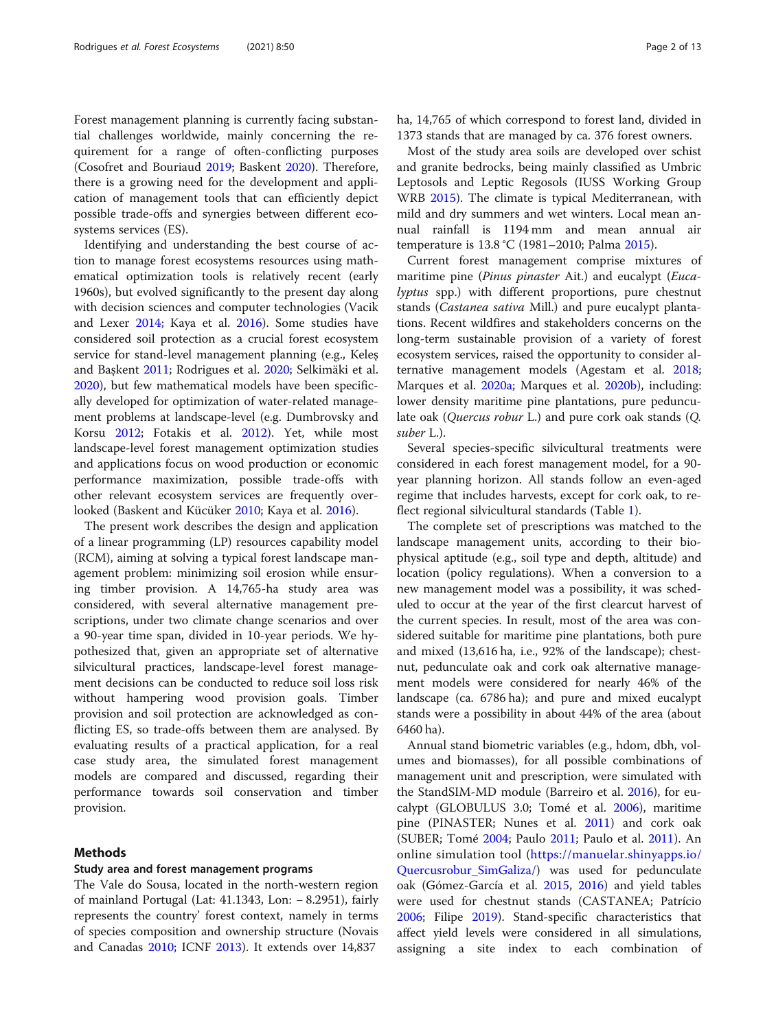Forest management planning is currently facing substantial challenges worldwide, mainly concerning the requirement for a range of often-conflicting purposes (Cosofret and Bouriaud [2019;](#page-11-0) Baskent [2020\)](#page-11-0). Therefore, there is a growing need for the development and application of management tools that can efficiently depict possible trade-offs and synergies between different ecosystems services (ES).

Identifying and understanding the best course of action to manage forest ecosystems resources using mathematical optimization tools is relatively recent (early 1960s), but evolved significantly to the present day along with decision sciences and computer technologies (Vacik and Lexer [2014;](#page-12-0) Kaya et al. [2016](#page-11-0)). Some studies have considered soil protection as a crucial forest ecosystem service for stand-level management planning (e.g., Keleş and Başkent [2011;](#page-11-0) Rodrigues et al. [2020](#page-12-0); Selkimäki et al. [2020](#page-12-0)), but few mathematical models have been specifically developed for optimization of water-related management problems at landscape-level (e.g. Dumbrovsky and Korsu [2012](#page-11-0); Fotakis et al. [2012](#page-11-0)). Yet, while most landscape-level forest management optimization studies and applications focus on wood production or economic performance maximization, possible trade-offs with other relevant ecosystem services are frequently overlooked (Baskent and Kücüker [2010](#page-11-0); Kaya et al. [2016](#page-11-0)).

The present work describes the design and application of a linear programming (LP) resources capability model (RCM), aiming at solving a typical forest landscape management problem: minimizing soil erosion while ensuring timber provision. A 14,765-ha study area was considered, with several alternative management prescriptions, under two climate change scenarios and over a 90-year time span, divided in 10-year periods. We hypothesized that, given an appropriate set of alternative silvicultural practices, landscape-level forest management decisions can be conducted to reduce soil loss risk without hampering wood provision goals. Timber provision and soil protection are acknowledged as conflicting ES, so trade-offs between them are analysed. By evaluating results of a practical application, for a real case study area, the simulated forest management models are compared and discussed, regarding their performance towards soil conservation and timber provision.

# Methods

### Study area and forest management programs

The Vale do Sousa, located in the north-western region of mainland Portugal (Lat: 41.1343, Lon: − 8.2951), fairly represents the country' forest context, namely in terms of species composition and ownership structure (Novais and Canadas [2010](#page-12-0); ICNF [2013\)](#page-11-0). It extends over 14,837

ha, 14,765 of which correspond to forest land, divided in 1373 stands that are managed by ca. 376 forest owners.

Most of the study area soils are developed over schist and granite bedrocks, being mainly classified as Umbric Leptosols and Leptic Regosols (IUSS Working Group WRB [2015](#page-11-0)). The climate is typical Mediterranean, with mild and dry summers and wet winters. Local mean annual rainfall is 1194 mm and mean annual air temperature is 13.8 °C (1981–2010; Palma [2015](#page-12-0)).

Current forest management comprise mixtures of maritime pine (Pinus pinaster Ait.) and eucalypt (Eucalyptus spp.) with different proportions, pure chestnut stands (Castanea sativa Mill.) and pure eucalypt plantations. Recent wildfires and stakeholders concerns on the long-term sustainable provision of a variety of forest ecosystem services, raised the opportunity to consider alternative management models (Agestam et al. [2018](#page-11-0); Marques et al. [2020a](#page-12-0); Marques et al. [2020b\)](#page-12-0), including: lower density maritime pine plantations, pure pedunculate oak (Quercus robur L.) and pure cork oak stands (Q. suber L.).

Several species-specific silvicultural treatments were considered in each forest management model, for a 90 year planning horizon. All stands follow an even-aged regime that includes harvests, except for cork oak, to reflect regional silvicultural standards (Table [1](#page-2-0)).

The complete set of prescriptions was matched to the landscape management units, according to their biophysical aptitude (e.g., soil type and depth, altitude) and location (policy regulations). When a conversion to a new management model was a possibility, it was scheduled to occur at the year of the first clearcut harvest of the current species. In result, most of the area was considered suitable for maritime pine plantations, both pure and mixed (13,616 ha, i.e., 92% of the landscape); chestnut, pedunculate oak and cork oak alternative management models were considered for nearly 46% of the landscape (ca. 6786 ha); and pure and mixed eucalypt stands were a possibility in about 44% of the area (about 6460 ha).

Annual stand biometric variables (e.g., hdom, dbh, volumes and biomasses), for all possible combinations of management unit and prescription, were simulated with the StandSIM-MD module (Barreiro et al. [2016\)](#page-11-0), for eucalypt (GLOBULUS 3.0; Tomé et al. [2006\)](#page-12-0), maritime pine (PINASTER; Nunes et al. [2011\)](#page-12-0) and cork oak (SUBER; Tomé [2004](#page-12-0); Paulo [2011](#page-12-0); Paulo et al. [2011](#page-12-0)). An online simulation tool [\(https://manuelar.shinyapps.io/](https://manuelar.shinyapps.io/Quercusrobur_SimGaliza/) [Quercusrobur\\_SimGaliza/\)](https://manuelar.shinyapps.io/Quercusrobur_SimGaliza/) was used for pedunculate oak (Gómez-García et al. [2015](#page-11-0), [2016\)](#page-11-0) and yield tables were used for chestnut stands (CASTANEA; Patrício [2006](#page-12-0); Filipe [2019\)](#page-11-0). Stand-specific characteristics that affect yield levels were considered in all simulations, assigning a site index to each combination of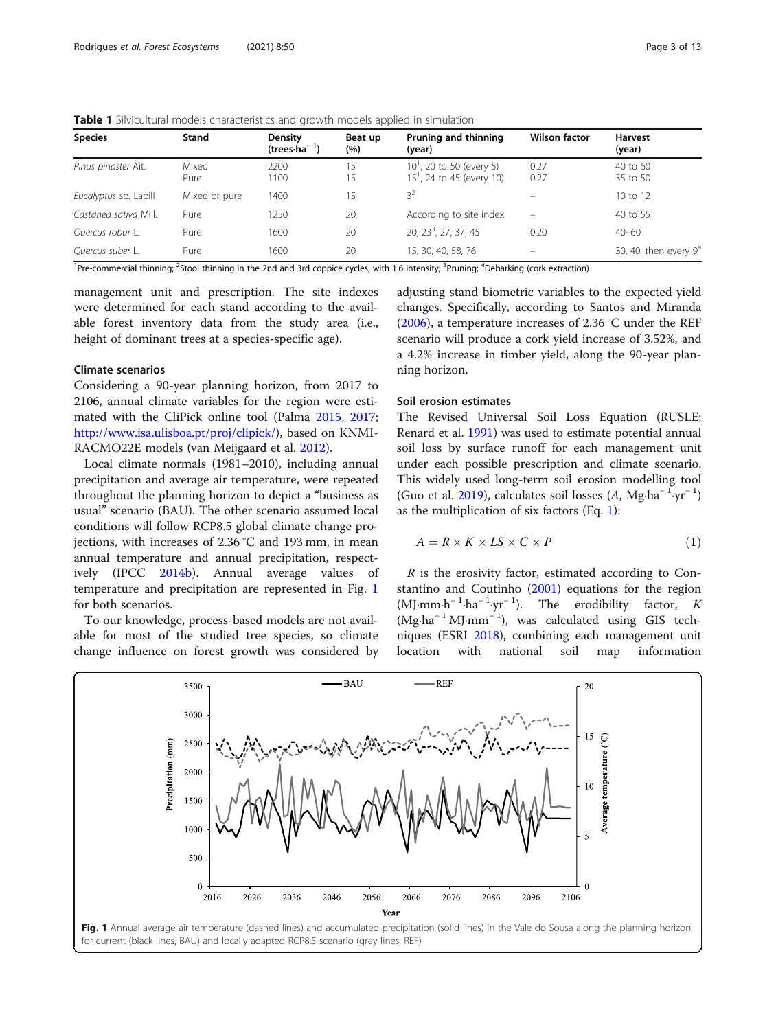| <b>Species</b>        | Stand         | Density<br>(trees $\cdot$ ha $^{-1}$ ) | Beat up<br>(%) | Pruning and thinning<br>(year)                                      | <b>Wilson factor</b> | <b>Harvest</b><br>(year) |
|-----------------------|---------------|----------------------------------------|----------------|---------------------------------------------------------------------|----------------------|--------------------------|
| Pinus pinaster Ait.   | Mixed<br>Pure | 2200<br>1100                           | 15<br>15       | 10 <sup>'</sup> , 20 to 50 (every 5)<br>$151$ , 24 to 45 (every 10) | 0.27<br>0.27         | 40 to 60<br>35 to 50     |
| Eucalyptus sp. Labill | Mixed or pure | 1400                                   | 15             | 3 <sup>2</sup>                                                      |                      | 10 to 12                 |
| Castanea sativa Mill. | Pure          | 1250                                   | 20             | According to site index                                             | $\qquad \qquad =$    | 40 to 55                 |
| Ouercus robur L.      | Pure          | 1600                                   | 20             | 20, $23^3$ , 27, 37, 45                                             | 0.20                 | $40 - 60$                |
| Quercus suber L.      | Pure          | 1600                                   | 20             | 15, 30, 40, 58, 76                                                  | $\qquad \qquad -$    | 30, 40, then every $9^4$ |

<span id="page-2-0"></span>Table 1 Silvicultural models characteristics and growth models applied in simulation

<sup>1</sup>Pre-commercial thinning; <sup>2</sup>Stool thinning in the 2nd and 3rd coppice cycles, with 1.6 intensity; <sup>3</sup>Pruning; <sup>4</sup>Debarking (cork extraction)

management unit and prescription. The site indexes were determined for each stand according to the available forest inventory data from the study area (i.e., height of dominant trees at a species-specific age).

# Climate scenarios

Considering a 90-year planning horizon, from 2017 to 2106, annual climate variables for the region were estimated with the CliPick online tool (Palma [2015](#page-12-0), [2017](#page-12-0); [http://www.isa.ulisboa.pt/proj/clipick/\)](http://www.isa.ulisboa.pt/proj/clipick/), based on KNMI-RACMO22E models (van Meijgaard et al. [2012](#page-12-0)).

Local climate normals (1981–2010), including annual precipitation and average air temperature, were repeated throughout the planning horizon to depict a "business as usual" scenario (BAU). The other scenario assumed local conditions will follow RCP8.5 global climate change projections, with increases of 2.36 °C and 193 mm, in mean annual temperature and annual precipitation, respectively (IPCC [2014b](#page-11-0)). Annual average values of temperature and precipitation are represented in Fig. 1 for both scenarios.

To our knowledge, process-based models are not available for most of the studied tree species, so climate change influence on forest growth was considered by

adjusting stand biometric variables to the expected yield changes. Specifically, according to Santos and Miranda ([2006\)](#page-12-0), a temperature increases of 2.36 °C under the REF scenario will produce a cork yield increase of 3.52%, and a 4.2% increase in timber yield, along the 90-year planning horizon.

#### Soil erosion estimates

The Revised Universal Soil Loss Equation (RUSLE; Renard et al. [1991\)](#page-12-0) was used to estimate potential annual soil loss by surface runoff for each management unit under each possible prescription and climate scenario. This widely used long-term soil erosion modelling tool (Guo et al. [2019](#page-11-0)), calculates soil losses  $(A, Mg \cdot ha^{-1}yr^{-1})$ as the multiplication of six factors (Eq. 1):

$$
A = R \times K \times LS \times C \times P \tag{1}
$$

R is the erosivity factor, estimated according to Constantino and Coutinho [\(2001\)](#page-11-0) equations for the region (MJ⋅mm⋅h<sup>-1</sup>⋅ha<sup>-1</sup>⋅yr<sup>-1</sup>). The erodibility factor, K (Mg∙ha<sup>−</sup> <sup>1</sup> MJ∙mm<sup>−</sup> <sup>1</sup> ), was calculated using GIS techniques (ESRI [2018](#page-11-0)), combining each management unit location with national soil map information



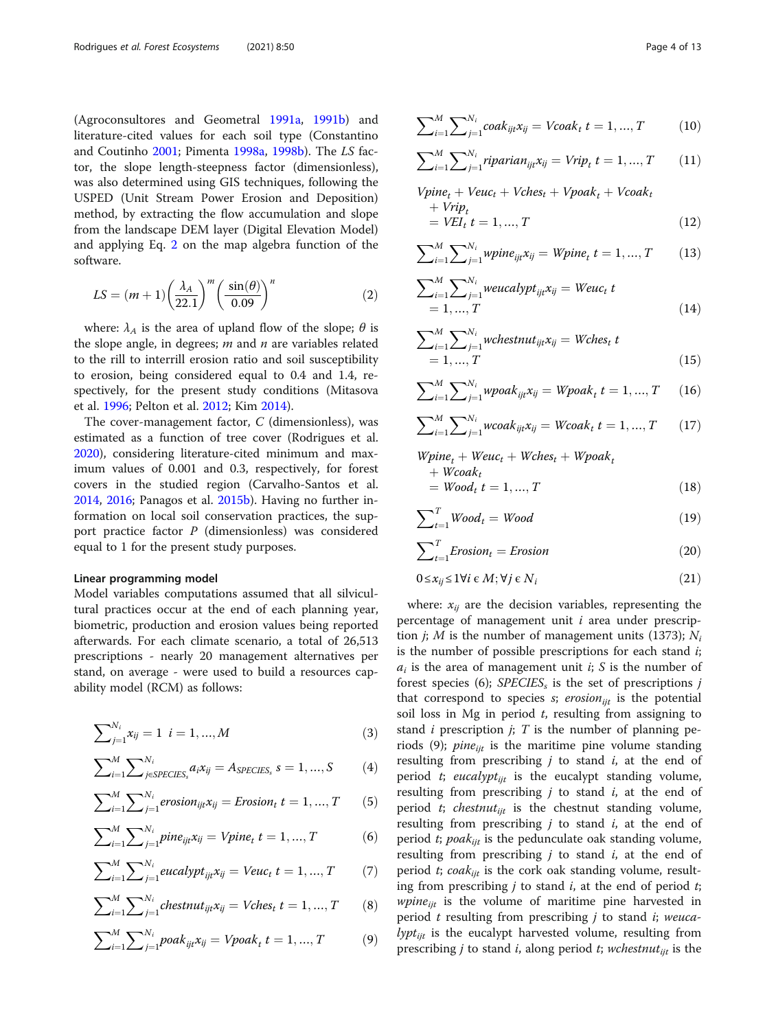<span id="page-3-0"></span>(Agroconsultores and Geometral [1991a,](#page-11-0) [1991b](#page-11-0)) and literature-cited values for each soil type (Constantino and Coutinho [2001;](#page-11-0) Pimenta [1998a](#page-12-0), [1998b\)](#page-12-0). The LS factor, the slope length-steepness factor (dimensionless), was also determined using GIS techniques, following the USPED (Unit Stream Power Erosion and Deposition) method, by extracting the flow accumulation and slope from the landscape DEM layer (Digital Elevation Model) and applying Eq. 2 on the map algebra function of the software.

$$
LS = (m+1)\left(\frac{\lambda_A}{22.1}\right)^m \left(\frac{\sin(\theta)}{0.09}\right)^n \tag{2}
$$

where:  $\lambda_A$  is the area of upland flow of the slope;  $\theta$  is the slope angle, in degrees;  $m$  and  $n$  are variables related to the rill to interrill erosion ratio and soil susceptibility to erosion, being considered equal to 0.4 and 1.4, respectively, for the present study conditions (Mitasova et al. [1996;](#page-12-0) Pelton et al. [2012](#page-12-0); Kim [2014](#page-11-0)).

The cover-management factor, C (dimensionless), was estimated as a function of tree cover (Rodrigues et al. [2020](#page-12-0)), considering literature-cited minimum and maximum values of 0.001 and 0.3, respectively, for forest covers in the studied region (Carvalho-Santos et al. [2014](#page-11-0), [2016](#page-11-0); Panagos et al. [2015b\)](#page-12-0). Having no further information on local soil conservation practices, the support practice factor P (dimensionless) was considered equal to 1 for the present study purposes.

# Linear programming model

Model variables computations assumed that all silvicultural practices occur at the end of each planning year, biometric, production and erosion values being reported afterwards. For each climate scenario, a total of 26,513 prescriptions - nearly 20 management alternatives per stand, on average - were used to build a resources capability model (RCM) as follows:

$$
\sum_{j=1}^{N_i} x_{ij} = 1 \ \ i = 1, ..., M \tag{3}
$$

$$
\sum_{i=1}^{M} \sum_{j \in SPECIES_s}^{N_i} a_i x_{ij} = A_{SPECIES_s} s = 1, ..., S
$$
 (4)

$$
\sum_{i=1}^{M} \sum_{j=1}^{N_i} \text{erosion}_{ijt} x_{ij} = \text{Erosion}_t \ t = 1, ..., T \qquad (5)
$$

$$
\sum_{i=1}^{M} \sum_{j=1}^{N_i} pine_{ijt}x_{ij} = Vpine_t \ t = 1, ..., T \tag{6}
$$

$$
\sum_{i=1}^{M} \sum_{j=1}^{N_i} eucalypt_{ijt} x_{ij} = Veuc_t \ t = 1, ..., T \qquad (7)
$$

$$
\sum_{i=1}^{M} \sum_{j=1}^{N_i} \text{chestant}_{ijt} x_{ij} = \text{Vches}_t \ t = 1, ..., T \qquad (8)
$$

$$
\sum_{i=1}^{M} \sum_{j=1}^{N_i} p o a k_{ijt} x_{ij} = V p o a k_t \ t = 1, ..., T \tag{9}
$$

$$
\sum_{i=1}^{M} \sum_{j=1}^{N_i} coak_{ijt} x_{ij} = Vcoak_t \ t = 1, ..., T \qquad (10)
$$

$$
\sum_{i=1}^{M} \sum_{j=1}^{N_i} riparian_{ijt} x_{ij} = Vrip_t \ t = 1, ..., T \qquad (11)
$$

$$
Vpine_t + Veuc_t + Vches_t + Vpoak_t + Vcoak_t + Vrip_t = VEIt_t = 1, ..., T
$$
 (12)

$$
\sum_{i=1}^{M} \sum_{j=1}^{N_i} \text{wpine}_{ijt} x_{ij} = \text{Wpine}_t \ t = 1, ..., T \qquad (13)
$$

$$
\sum_{i=1}^{M} \sum_{j=1}^{N_i} \text{weucalypt}_{ijt} x_{ij} = \text{Weuc}_{t} \ t
$$
  
= 1, ..., T (14)

$$
\sum_{i=1}^{M} \sum_{j=1}^{N_i} \text{wchestrut}_{ijt} x_{ij} = \text{Wches}_t \ t
$$
  
= 1, ..., T (15)

$$
\sum_{i=1}^{M} \sum_{j=1}^{N_i} wpoak_{ijt} x_{ij} = Wpoak_t \ t = 1, ..., T \tag{16}
$$

$$
\sum_{i=1}^{M} \sum_{j=1}^{N_i} w \cos k_{ijt} x_{ij} = W \cos k_t \ t = 1, ..., T \qquad (17)
$$

 $Wpine_t + Weuc_t + Wches_t + Wpoak_t$  $+$  Wcoak<sub>t</sub>  $= Wood_t t = 1, ..., T$  (18)

$$
\sum_{t=1}^{T} Wood_t = Wood \tag{19}
$$

$$
\sum_{t=1}^{T} Erosion_t = Erosion \tag{20}
$$

$$
0 \le x_{ij} \le 1 \forall i \in M; \forall j \in N_i \tag{21}
$$

where:  $x_{ii}$  are the decision variables, representing the percentage of management unit  $i$  area under prescription *j*; *M* is the number of management units (1373);  $N_i$ is the number of possible prescriptions for each stand  $i$ ;  $a_i$  is the area of management unit *i*; *S* is the number of forest species (6);  $SPECIES_s$  is the set of prescriptions j that correspond to species  $s$ ; erosion<sub>iit</sub> is the potential soil loss in Mg in period  $t$ , resulting from assigning to stand  $i$  prescription  $j$ ;  $T$  is the number of planning periods (9);  $pine_{ijt}$  is the maritime pine volume standing resulting from prescribing  $j$  to stand  $i$ , at the end of period t; eucalypt<sub>ijt</sub> is the eucalypt standing volume, resulting from prescribing  $j$  to stand  $i$ , at the end of period *t*; *chestnut<sub>ijt</sub>* is the chestnut standing volume, resulting from prescribing  $j$  to stand  $i$ , at the end of period *t*; *poak<sub>iit</sub>* is the pedunculate oak standing volume, resulting from prescribing  $j$  to stand  $i$ , at the end of period *t*; coa $k_{ijt}$  is the cork oak standing volume, resulting from prescribing  $j$  to stand  $i$ , at the end of period  $t$ ; *wpine<sub>iit</sub>* is the volume of maritime pine harvested in period  $t$  resulting from prescribing  $j$  to stand  $i$ ; weuca*lypt<sub>ijt</sub>* is the eucalypt harvested volume, resulting from prescribing *j* to stand *i*, along period *t*; *wchestnut*<sub>ijt</sub> is the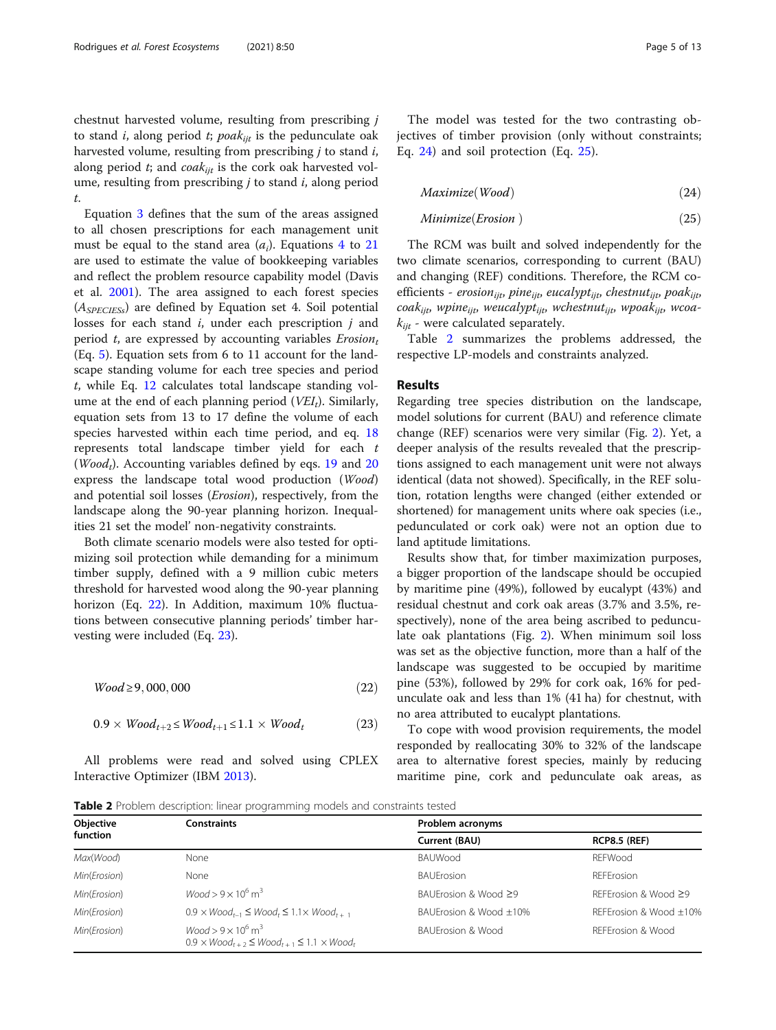<span id="page-4-0"></span>chestnut harvested volume, resulting from prescribing j to stand i, along period t; poak<sub>iit</sub> is the pedunculate oak harvested volume, resulting from prescribing  $j$  to stand  $i$ , along period  $t_i$ ; and  $coak_{iit}$  is the cork oak harvested volume, resulting from prescribing  $j$  to stand  $i$ , along period t.

Equation [3](#page-3-0) defines that the sum of the areas assigned to all chosen prescriptions for each management unit must be equal to the stand area  $(a_i)$ . Equations [4](#page-3-0) to [21](#page-3-0) are used to estimate the value of bookkeeping variables and reflect the problem resource capability model (Davis et al. [2001](#page-11-0)). The area assigned to each forest species  $(A<sub>SPECTESs</sub>)$  are defined by Equation set 4. Soil potential losses for each stand  $i$ , under each prescription  $j$  and period t, are expressed by accounting variables  $Erosion<sub>t</sub>$ (Eq. [5\)](#page-3-0). Equation sets from 6 to 11 account for the landscape standing volume for each tree species and period t, while Eq. [12](#page-3-0) calculates total landscape standing volume at the end of each planning period  $(VEI_t)$ . Similarly, equation sets from 13 to 17 define the volume of each species harvested within each time period, and eq. [18](#page-3-0) represents total landscape timber yield for each t (*Wood<sub>t</sub>*). Accounting variables defined by eqs. [19](#page-3-0) and [20](#page-3-0) express the landscape total wood production (Wood) and potential soil losses (Erosion), respectively, from the landscape along the 90-year planning horizon. Inequalities 21 set the model' non-negativity constraints.

Both climate scenario models were also tested for optimizing soil protection while demanding for a minimum timber supply, defined with a 9 million cubic meters threshold for harvested wood along the 90-year planning horizon (Eq. 22). In Addition, maximum 10% fluctuations between consecutive planning periods' timber harvesting were included (Eq. 23).

$$
Wood \ge 9,000,000 \tag{22}
$$

$$
0.9 \times Wood_{t+2} \leq Wood_{t+1} \leq 1.1 \times Wood_t \tag{23}
$$

All problems were read and solved using CPLEX Interactive Optimizer (IBM [2013\)](#page-11-0).

The model was tested for the two contrasting objectives of timber provision (only without constraints; Eq. 24) and soil protection (Eq. 25).

$$
Maximize(Wood)
$$
\n<sup>(24)</sup>

$$
Minimize (Erosion)
$$
\n
$$
(25)
$$

The RCM was built and solved independently for the two climate scenarios, corresponding to current (BAU) and changing (REF) conditions. Therefore, the RCM coefficients - erosion<sub>iit</sub>, pine<sub>iit</sub>, eucalypt<sub>iit</sub>, chestnut<sub>iit</sub>, poak<sub>iit</sub>,  $coak_{ii}$ , wpine<sub>iit</sub>, weucalypt<sub>iit</sub>, wchestnut<sub>iit</sub>, wpoak<sub>iit</sub>, wcoa $k_{\text{ijt}}$  - were calculated separately.

Table 2 summarizes the problems addressed, the respective LP-models and constraints analyzed.

#### Results

Regarding tree species distribution on the landscape, model solutions for current (BAU) and reference climate change (REF) scenarios were very similar (Fig. [2\)](#page-5-0). Yet, a deeper analysis of the results revealed that the prescriptions assigned to each management unit were not always identical (data not showed). Specifically, in the REF solution, rotation lengths were changed (either extended or shortened) for management units where oak species (i.e., pedunculated or cork oak) were not an option due to land aptitude limitations.

Results show that, for timber maximization purposes, a bigger proportion of the landscape should be occupied by maritime pine (49%), followed by eucalypt (43%) and residual chestnut and cork oak areas (3.7% and 3.5%, respectively), none of the area being ascribed to pedunculate oak plantations (Fig. [2](#page-5-0)). When minimum soil loss was set as the objective function, more than a half of the landscape was suggested to be occupied by maritime pine (53%), followed by 29% for cork oak, 16% for pedunculate oak and less than 1% (41 ha) for chestnut, with no area attributed to eucalypt plantations.

To cope with wood provision requirements, the model responded by reallocating 30% to 32% of the landscape area to alternative forest species, mainly by reducing maritime pine, cork and pedunculate oak areas, as

**Table 2** Problem description: linear programming models and constraints tested

| Objective    | <b>Constraints</b>                                                                                   | Problem acronyms             |                            |  |
|--------------|------------------------------------------------------------------------------------------------------|------------------------------|----------------------------|--|
| function     |                                                                                                      | Current (BAU)                | <b>RCP8.5 (REF)</b>        |  |
| Max(Wood)    | None                                                                                                 | <b>BAUWood</b>               | <b>REFWood</b>             |  |
| Min(Erosion) | None                                                                                                 | <b>BAUFrosion</b>            | RFFFrosion                 |  |
| Min(Erosion) | $W$ ood > 9 × 10 <sup>6</sup> m <sup>3</sup>                                                         | BAUErosion & Wood ≥9         | RFFFrosion & Wood $\geq$ 9 |  |
| Min(Erosion) | $0.9 \times Wood_{t-1} \leq Wood_t \leq 1.1 \times Wood_{t+1}$                                       | BAUFrosion & Wood +10%       | REFErosion & Wood +10%     |  |
| Min(Erosion) | $Wood > 9 \times 10^6 \text{ m}^3$<br>$0.9 \times Wood_{t+2} \leq Wood_{t+1} \leq 1.1 \times Wood_t$ | <b>BAUFrosion &amp; Wood</b> | RFFFrosion & Wood          |  |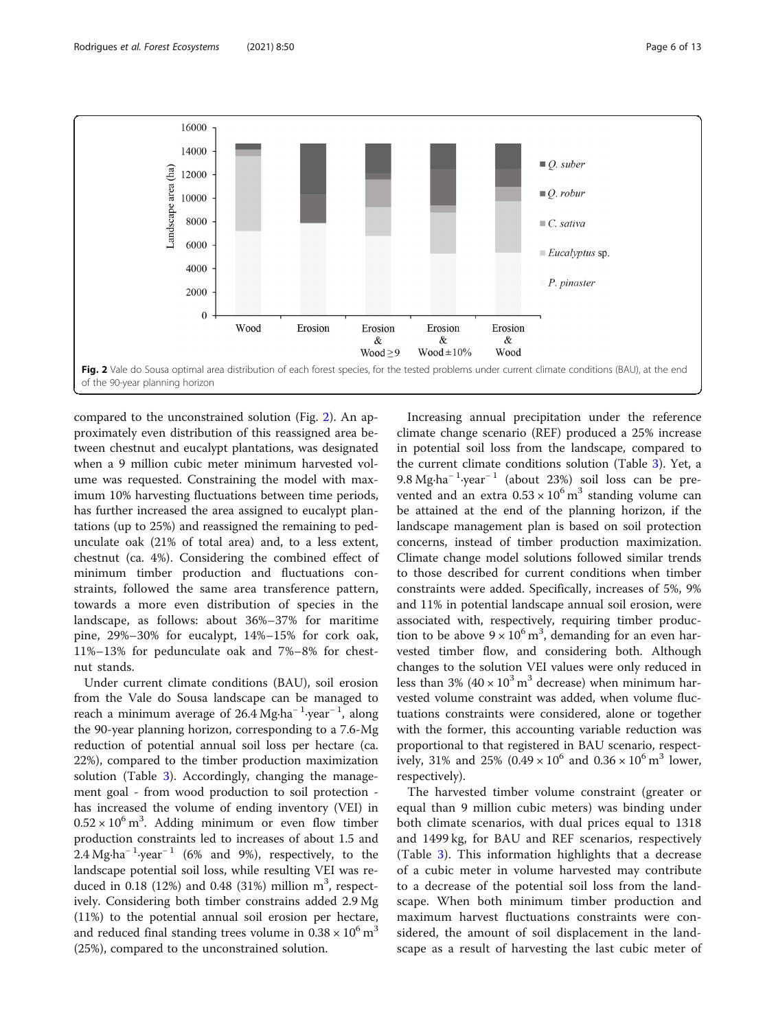<span id="page-5-0"></span>16000 14000  $\blacksquare$  O. suber Landscape area (ha) 12000  $\blacksquare$  O. robur 10000 8000  $\mathbb{C}$ . sativa 6000  $\blacksquare$  Eucalyptus sp. 4000 P. pinaster 2000  $\boldsymbol{0}$ Wood Erosion Erosion Erosion Erosion & &  $\&$ Wood  $\geq$  9 Wood  $\pm 10\%$ Wood Fig. 2 Vale do Sousa optimal area distribution of each forest species, for the tested problems under current climate conditions (BAU), at the end of the 90-year planning horizon

compared to the unconstrained solution (Fig. 2). An approximately even distribution of this reassigned area between chestnut and eucalypt plantations, was designated when a 9 million cubic meter minimum harvested volume was requested. Constraining the model with maximum 10% harvesting fluctuations between time periods, has further increased the area assigned to eucalypt plantations (up to 25%) and reassigned the remaining to pedunculate oak (21% of total area) and, to a less extent, chestnut (ca. 4%). Considering the combined effect of minimum timber production and fluctuations constraints, followed the same area transference pattern, towards a more even distribution of species in the landscape, as follows: about 36%–37% for maritime pine, 29%–30% for eucalypt, 14%–15% for cork oak, 11%–13% for pedunculate oak and 7%–8% for chestnut stands.

Under current climate conditions (BAU), soil erosion from the Vale do Sousa landscape can be managed to reach a minimum average of 26.4 Mg∙ha<sup>−</sup> <sup>1</sup> ∙year<sup>−</sup> <sup>1</sup> , along the 90-year planning horizon, corresponding to a 7.6-Mg reduction of potential annual soil loss per hectare (ca. 22%), compared to the timber production maximization solution (Table [3](#page-6-0)). Accordingly, changing the management goal - from wood production to soil protection has increased the volume of ending inventory (VEI) in  $0.52 \times 10^6$  m<sup>3</sup>. Adding minimum or even flow timber production constraints led to increases of about 1.5 and  $2.4 \text{ Mg} \cdot \text{ha}^{-1} \cdot \text{year}^{-1}$  (6% and 9%), respectively, to the landscape potential soil loss, while resulting VEI was reduced in 0.18 (12%) and 0.48 (31%) million  $m^3$ , respectively. Considering both timber constrains added 2.9 Mg (11%) to the potential annual soil erosion per hectare, and reduced final standing trees volume in  $0.38 \times 10^{6}$  m<sup>3</sup> (25%), compared to the unconstrained solution.

Increasing annual precipitation under the reference climate change scenario (REF) produced a 25% increase in potential soil loss from the landscape, compared to the current climate conditions solution (Table [3\)](#page-6-0). Yet, a 9.8 Mg⋅ha<sup>-1</sup>·year<sup>-1</sup> (about 23%) soil loss can be prevented and an extra  $0.53 \times 10^6$  m<sup>3</sup> standing volume can be attained at the end of the planning horizon, if the landscape management plan is based on soil protection concerns, instead of timber production maximization. Climate change model solutions followed similar trends to those described for current conditions when timber constraints were added. Specifically, increases of 5%, 9% and 11% in potential landscape annual soil erosion, were associated with, respectively, requiring timber production to be above  $9 \times 10^6$  m<sup>3</sup>, demanding for an even harvested timber flow, and considering both. Although changes to the solution VEI values were only reduced in less than 3% ( $40 \times 10^3$  m<sup>3</sup> decrease) when minimum harvested volume constraint was added, when volume fluctuations constraints were considered, alone or together with the former, this accounting variable reduction was proportional to that registered in BAU scenario, respectively, 31% and 25% (0.49  $\times$  10<sup>6</sup> and 0.36  $\times$  10<sup>6</sup> m<sup>3</sup> lower, respectively).

The harvested timber volume constraint (greater or equal than 9 million cubic meters) was binding under both climate scenarios, with dual prices equal to 1318 and 1499 kg, for BAU and REF scenarios, respectively (Table [3\)](#page-6-0). This information highlights that a decrease of a cubic meter in volume harvested may contribute to a decrease of the potential soil loss from the landscape. When both minimum timber production and maximum harvest fluctuations constraints were considered, the amount of soil displacement in the landscape as a result of harvesting the last cubic meter of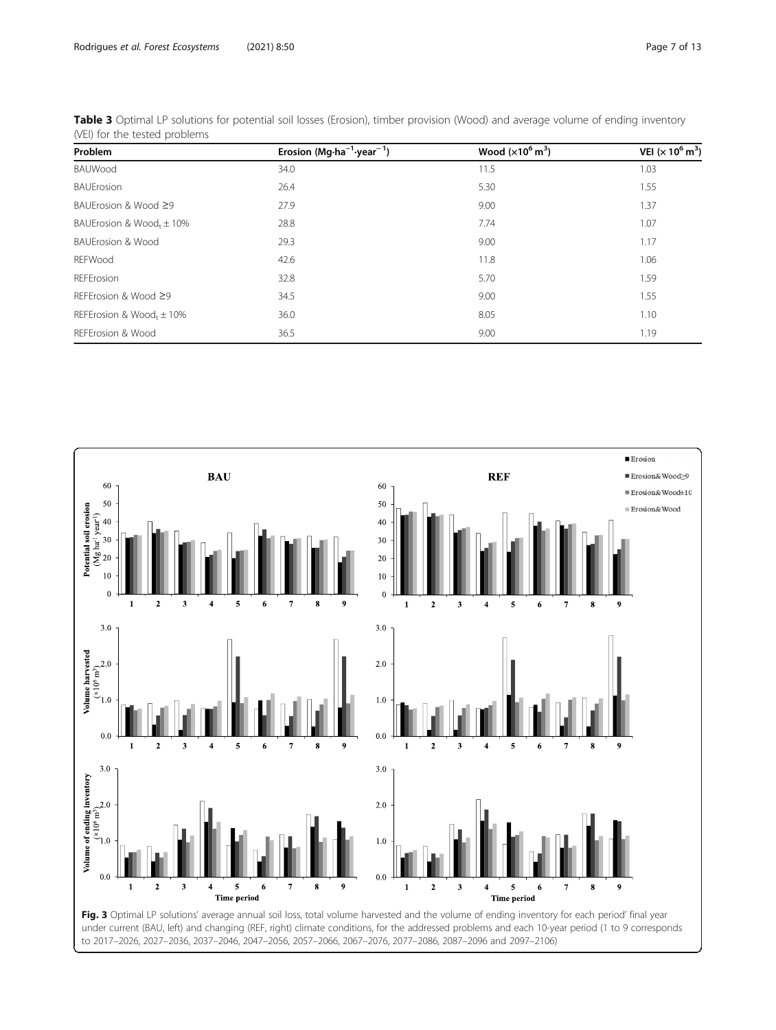| Problem                              | Erosion (Mg $\cdot$ ha <sup>-1</sup> ·year <sup>-1</sup> ) | Wood $(x10^6 \text{ m}^3)$ | VEI ( $\times$ 10 <sup>6</sup> m <sup>3</sup> ) |  |
|--------------------------------------|------------------------------------------------------------|----------------------------|-------------------------------------------------|--|
| BAUWood                              | 34.0                                                       | 11.5                       | 1.03                                            |  |
| <b>BAUErosion</b>                    | 26.4                                                       | 5.30                       | 1.55                                            |  |
| BAUErosion & Wood ≥9                 | 27.9                                                       | 9.00                       | 1.37                                            |  |
| BAUErosion & Wood, $\pm$ 10%         | 28.8                                                       | 7.74                       | 1.07                                            |  |
| <b>BAUErosion &amp; Wood</b>         | 29.3                                                       | 9.00                       | 1.17                                            |  |
| REFWood                              | 42.6                                                       | 11.8                       | 1.06                                            |  |
| REFErosion                           | 32.8                                                       | 5.70                       | 1.59                                            |  |
| REFErosion & Wood ≥9                 | 34.5                                                       | 9.00                       | 1.55                                            |  |
| REFErosion & Wood <sub>t</sub> ± 10% | 36.0                                                       | 8.05                       | 1.10                                            |  |
| REFErosion & Wood                    | 36.5                                                       | 9.00                       | 1.19                                            |  |

<span id="page-6-0"></span>Table 3 Optimal LP solutions for potential soil losses (Erosion), timber provision (Wood) and average volume of ending inventory (VEI) for the tested problems

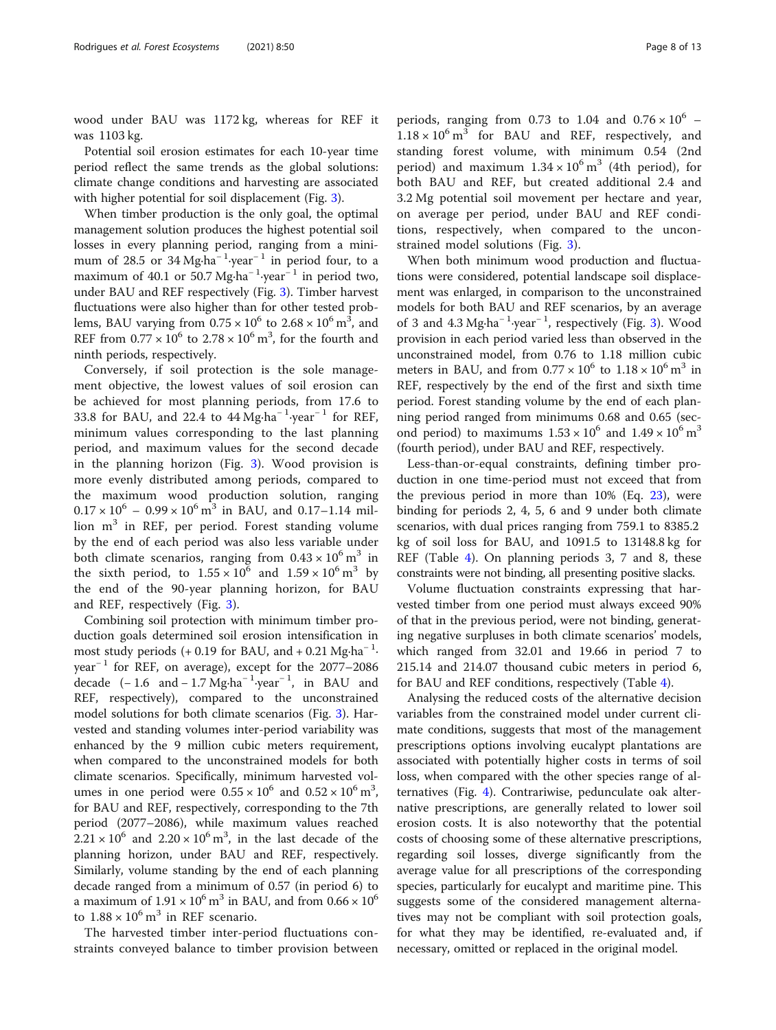wood under BAU was 1172 kg, whereas for REF it was 1103 kg.

Potential soil erosion estimates for each 10-year time period reflect the same trends as the global solutions: climate change conditions and harvesting are associated with higher potential for soil displacement (Fig. [3](#page-6-0)).

When timber production is the only goal, the optimal management solution produces the highest potential soil losses in every planning period, ranging from a minimum of 28.5 or  $34 \text{ Mg} \cdot \text{ha}^{-1} \cdot \text{year}^{-1}$  in period four, to a maximum of 40.1 or 50.7 Mg⋅ha<sup>-1</sup>⋅year<sup>-1</sup> in period two, under BAU and REF respectively (Fig. [3\)](#page-6-0). Timber harvest fluctuations were also higher than for other tested problems, BAU varying from  $0.75 \times 10^6$  to  $2.68 \times 10^6$  m<sup>3</sup>, and REF from  $0.77 \times 10^6$  to  $2.78 \times 10^6$  m<sup>3</sup>, for the fourth and ninth periods, respectively.

Conversely, if soil protection is the sole management objective, the lowest values of soil erosion can be achieved for most planning periods, from 17.6 to 33.8 for BAU, and 22.4 to  $44 \text{ Mg} \cdot \text{ha}^{-1} \cdot \text{year}^{-1}$  for REF, minimum values corresponding to the last planning period, and maximum values for the second decade in the planning horizon (Fig. [3](#page-6-0)). Wood provision is more evenly distributed among periods, compared to the maximum wood production solution, ranging  $0.17 \times 10^6 - 0.99 \times 10^6$  m<sup>3</sup> in BAU, and 0.17–1.14 million  $m<sup>3</sup>$  in REF, per period. Forest standing volume by the end of each period was also less variable under both climate scenarios, ranging from  $0.43 \times 10^6$  m<sup>3</sup> in the sixth period, to  $1.55 \times 10^6$  and  $1.59 \times 10^6$  m<sup>3</sup> by the end of the 90-year planning horizon, for BAU and REF, respectively (Fig. [3\)](#page-6-0).

Combining soil protection with minimum timber production goals determined soil erosion intensification in most study periods  $(+ 0.19)$  for BAU, and  $+ 0.21$  Mg⋅ha<sup>-1</sup>. year<sup>-1</sup> for REF, on average), except for the 2077–2086 decade  $(-1.6 \text{ and } -1.7 \text{ Mg} \cdot \text{ha}^{-1} \cdot \text{year}^{-1}$ , in BAU and REF, respectively), compared to the unconstrained model solutions for both climate scenarios (Fig. [3\)](#page-6-0). Harvested and standing volumes inter-period variability was enhanced by the 9 million cubic meters requirement, when compared to the unconstrained models for both climate scenarios. Specifically, minimum harvested volumes in one period were  $0.55 \times 10^6$  and  $0.52 \times 10^6$  m<sup>3</sup>, for BAU and REF, respectively, corresponding to the 7th period (2077–2086), while maximum values reached  $2.21 \times 10^6$  and  $2.20 \times 10^6$  m<sup>3</sup>, in the last decade of the planning horizon, under BAU and REF, respectively. Similarly, volume standing by the end of each planning decade ranged from a minimum of 0.57 (in period 6) to a maximum of  $1.91 \times 10^6$  m<sup>3</sup> in BAU, and from  $0.66 \times 10^6$ to  $1.88 \times 10^6$  m<sup>3</sup> in REF scenario.

The harvested timber inter-period fluctuations constraints conveyed balance to timber provision between

periods, ranging from 0.73 to 1.04 and  $0.76 \times 10^6$  –  $1.18 \times 10^6$  m<sup>3</sup> for BAU and REF, respectively, and standing forest volume, with minimum 0.54 (2nd period) and maximum  $1.34 \times 10^6$  m<sup>3</sup> (4th period), for both BAU and REF, but created additional 2.4 and 3.2 Mg potential soil movement per hectare and year, on average per period, under BAU and REF conditions, respectively, when compared to the unconstrained model solutions (Fig. [3](#page-6-0)).

When both minimum wood production and fluctuations were considered, potential landscape soil displacement was enlarged, in comparison to the unconstrained models for both BAU and REF scenarios, by an average of [3](#page-6-0) and 4.3 Mg⋅ha<sup>-1</sup>⋅year<sup>-1</sup>, respectively (Fig. 3). Wood provision in each period varied less than observed in the unconstrained model, from 0.76 to 1.18 million cubic meters in BAU, and from  $0.77 \times 10^6$  to  $1.18 \times 10^6$  m<sup>3</sup> in REF, respectively by the end of the first and sixth time period. Forest standing volume by the end of each planning period ranged from minimums 0.68 and 0.65 (second period) to maximums  $1.53 \times 10^6$  and  $1.49 \times 10^6$  m<sup>3</sup> (fourth period), under BAU and REF, respectively.

Less-than-or-equal constraints, defining timber production in one time-period must not exceed that from the previous period in more than  $10\%$  (Eq. [23\)](#page-4-0), were binding for periods 2, 4, 5, 6 and 9 under both climate scenarios, with dual prices ranging from 759.1 to 8385.2 kg of soil loss for BAU, and 1091.5 to 13148.8 kg for REF (Table [4\)](#page-8-0). On planning periods 3, 7 and 8, these constraints were not binding, all presenting positive slacks.

Volume fluctuation constraints expressing that harvested timber from one period must always exceed 90% of that in the previous period, were not binding, generating negative surpluses in both climate scenarios' models, which ranged from 32.01 and 19.66 in period 7 to 215.14 and 214.07 thousand cubic meters in period 6, for BAU and REF conditions, respectively (Table [4](#page-8-0)).

Analysing the reduced costs of the alternative decision variables from the constrained model under current climate conditions, suggests that most of the management prescriptions options involving eucalypt plantations are associated with potentially higher costs in terms of soil loss, when compared with the other species range of alternatives (Fig. [4](#page-8-0)). Contrariwise, pedunculate oak alternative prescriptions, are generally related to lower soil erosion costs. It is also noteworthy that the potential costs of choosing some of these alternative prescriptions, regarding soil losses, diverge significantly from the average value for all prescriptions of the corresponding species, particularly for eucalypt and maritime pine. This suggests some of the considered management alternatives may not be compliant with soil protection goals, for what they may be identified, re-evaluated and, if necessary, omitted or replaced in the original model.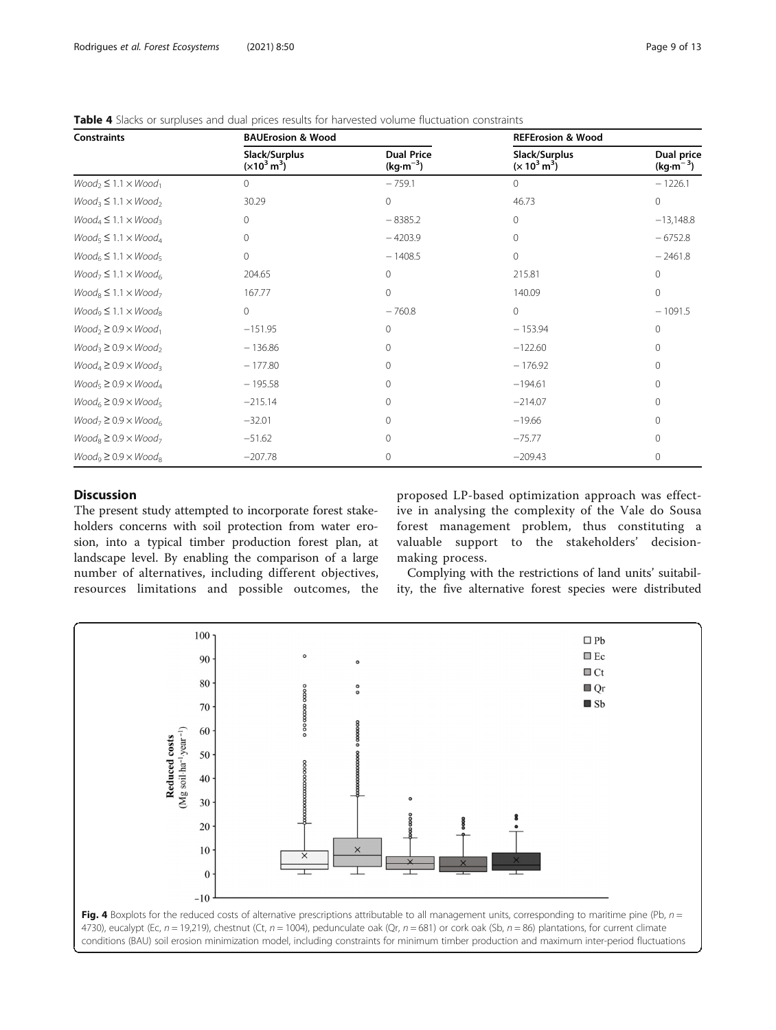| <b>Constraints</b>              | <b>BAUErosion &amp; Wood</b>           |                                 | <b>REFErosion &amp; Wood</b>            |                          |  |
|---------------------------------|----------------------------------------|---------------------------------|-----------------------------------------|--------------------------|--|
|                                 | Slack/Surplus<br>$(x10^3 \text{ m}^3)$ | <b>Dual Price</b><br>$(kg·m-3)$ | Slack/Surplus<br>$(x 10^3 \text{ m}^3)$ | Dual price<br>$(kg·m-3)$ |  |
| $Wood_2 \leq 1.1 \times Wood_1$ | 0                                      | $-759.1$                        | 0                                       | $-1226.1$                |  |
| $Wood_3 \leq 1.1 \times Wood_2$ | 30.29                                  | 0                               | 46.73                                   | $\circ$                  |  |
| $Wood_4 \leq 1.1 \times Wood_3$ | 0                                      | $-8385.2$                       | $\mathbf{0}$                            | $-13,148.8$              |  |
| $Wood_5 \leq 1.1 \times Wood_4$ | 0                                      | $-4203.9$                       | $\mathbf{0}$                            | $-6752.8$                |  |
| $Wood6 \le 1.1 \times Wood5$    | 0                                      | $-1408.5$                       | $\mathbf 0$                             | $-2461.8$                |  |
| $Wood_7 \leq 1.1 \times Wood_6$ | 204.65                                 | $\mathbf{0}$                    | 215.81                                  | $\circ$                  |  |
| $Wood_8 \leq 1.1 \times Wood_7$ | 167.77                                 | $\Omega$                        | 140.09                                  | $\mathbf{0}$             |  |
| $Wood_9 \leq 1.1 \times Wood_8$ | $\circ$                                | $-760.8$                        | $\mathbf{0}$                            | $-1091.5$                |  |
| $Wood_2 \geq 0.9 \times Wood_1$ | $-151.95$                              | $\Omega$                        | $-153.94$                               | $\mathbf{0}$             |  |
| $Wood_3 \geq 0.9 \times Wood_2$ | $-136.86$                              | $\Omega$                        | $-122.60$                               | $\Omega$                 |  |
| $Wood_4 \geq 0.9 \times Wood_3$ | $-177.80$                              | $\Omega$                        | $-176.92$                               | 0                        |  |
| $Wood_5 \geq 0.9 \times Wood_4$ | $-195.58$                              | $\Omega$                        | $-194.61$                               | 0                        |  |
| $Wood6 \geq 0.9 \times Wood5$   | $-215.14$                              | $\Omega$                        | $-214.07$                               | 0                        |  |
| $Wood_7 \geq 0.9 \times Wood_6$ | $-32.01$                               | $\Omega$                        | $-19.66$                                | 0                        |  |
| $Wood_8 \geq 0.9 \times Wood_7$ | $-51.62$                               | $\Omega$                        | $-75.77$                                | 0                        |  |
| $Wood_9 \geq 0.9 \times Wood_8$ | $-207.78$                              | 0                               | $-209.43$                               | 0                        |  |

<span id="page-8-0"></span>Table 4 Slacks or surpluses and dual prices results for harvested volume fluctuation constraints

# **Discussion**

The present study attempted to incorporate forest stakeholders concerns with soil protection from water erosion, into a typical timber production forest plan, at landscape level. By enabling the comparison of a large number of alternatives, including different objectives, resources limitations and possible outcomes, the proposed LP-based optimization approach was effective in analysing the complexity of the Vale do Sousa forest management problem, thus constituting a valuable support to the stakeholders' decisionmaking process.

Complying with the restrictions of land units' suitability, the five alternative forest species were distributed

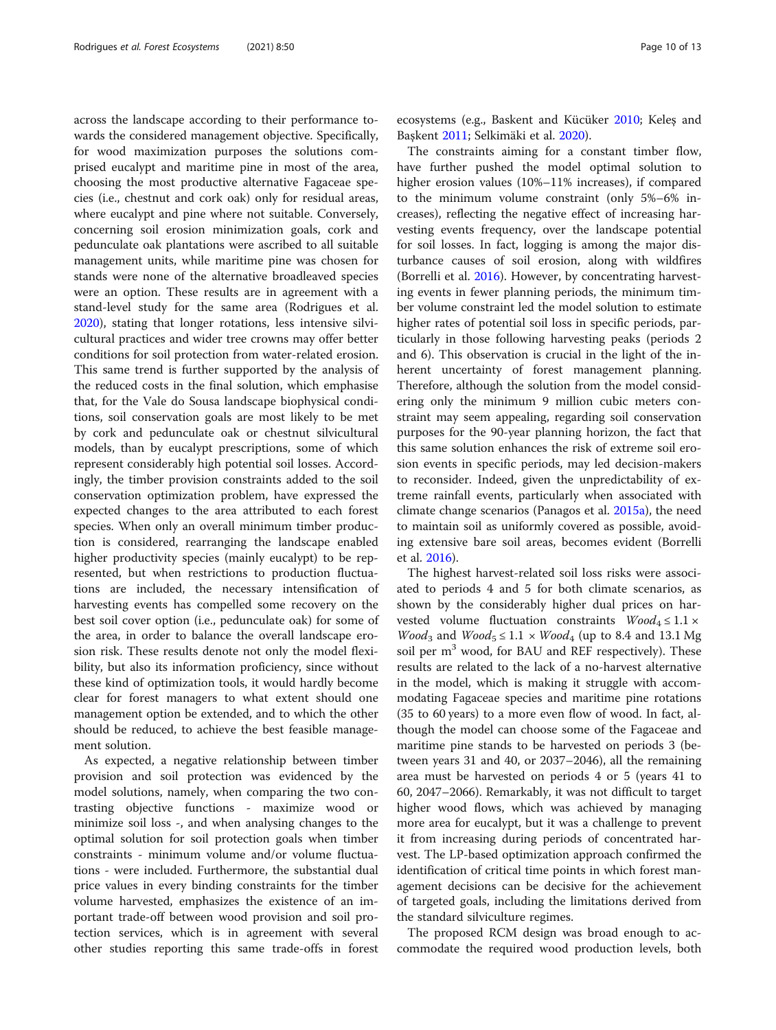across the landscape according to their performance towards the considered management objective. Specifically, for wood maximization purposes the solutions comprised eucalypt and maritime pine in most of the area, choosing the most productive alternative Fagaceae species (i.e., chestnut and cork oak) only for residual areas, where eucalypt and pine where not suitable. Conversely, concerning soil erosion minimization goals, cork and pedunculate oak plantations were ascribed to all suitable management units, while maritime pine was chosen for stands were none of the alternative broadleaved species were an option. These results are in agreement with a stand-level study for the same area (Rodrigues et al. [2020](#page-12-0)), stating that longer rotations, less intensive silvicultural practices and wider tree crowns may offer better conditions for soil protection from water-related erosion. This same trend is further supported by the analysis of the reduced costs in the final solution, which emphasise that, for the Vale do Sousa landscape biophysical conditions, soil conservation goals are most likely to be met by cork and pedunculate oak or chestnut silvicultural models, than by eucalypt prescriptions, some of which represent considerably high potential soil losses. Accordingly, the timber provision constraints added to the soil conservation optimization problem, have expressed the expected changes to the area attributed to each forest species. When only an overall minimum timber production is considered, rearranging the landscape enabled higher productivity species (mainly eucalypt) to be represented, but when restrictions to production fluctuations are included, the necessary intensification of harvesting events has compelled some recovery on the best soil cover option (i.e., pedunculate oak) for some of the area, in order to balance the overall landscape erosion risk. These results denote not only the model flexibility, but also its information proficiency, since without these kind of optimization tools, it would hardly become clear for forest managers to what extent should one management option be extended, and to which the other should be reduced, to achieve the best feasible management solution.

As expected, a negative relationship between timber provision and soil protection was evidenced by the model solutions, namely, when comparing the two contrasting objective functions - maximize wood or minimize soil loss -, and when analysing changes to the optimal solution for soil protection goals when timber constraints - minimum volume and/or volume fluctuations - were included. Furthermore, the substantial dual price values in every binding constraints for the timber volume harvested, emphasizes the existence of an important trade-off between wood provision and soil protection services, which is in agreement with several other studies reporting this same trade-offs in forest ecosystems (e.g., Baskent and Kücüker [2010](#page-11-0); Keleş and Başkent [2011](#page-11-0); Selkimäki et al. [2020\)](#page-12-0).

The constraints aiming for a constant timber flow, have further pushed the model optimal solution to higher erosion values (10%–11% increases), if compared to the minimum volume constraint (only 5%–6% increases), reflecting the negative effect of increasing harvesting events frequency, over the landscape potential for soil losses. In fact, logging is among the major disturbance causes of soil erosion, along with wildfires (Borrelli et al. [2016\)](#page-11-0). However, by concentrating harvesting events in fewer planning periods, the minimum timber volume constraint led the model solution to estimate higher rates of potential soil loss in specific periods, particularly in those following harvesting peaks (periods 2 and 6). This observation is crucial in the light of the inherent uncertainty of forest management planning. Therefore, although the solution from the model considering only the minimum 9 million cubic meters constraint may seem appealing, regarding soil conservation purposes for the 90-year planning horizon, the fact that this same solution enhances the risk of extreme soil erosion events in specific periods, may led decision-makers to reconsider. Indeed, given the unpredictability of extreme rainfall events, particularly when associated with climate change scenarios (Panagos et al. [2015a](#page-12-0)), the need to maintain soil as uniformly covered as possible, avoiding extensive bare soil areas, becomes evident (Borrelli et al. [2016\)](#page-11-0).

The highest harvest-related soil loss risks were associated to periods 4 and 5 for both climate scenarios, as shown by the considerably higher dual prices on harvested volume fluctuation constraints  $Wood_4 \leq 1.1 \times$ *Wood*<sub>3</sub> and *Wood*<sub>5</sub>  $\leq$  1.1  $\times$  *Wood*<sub>4</sub> (up to 8.4 and 13.1 Mg soil per  $m<sup>3</sup>$  wood, for BAU and REF respectively). These results are related to the lack of a no-harvest alternative in the model, which is making it struggle with accommodating Fagaceae species and maritime pine rotations (35 to 60 years) to a more even flow of wood. In fact, although the model can choose some of the Fagaceae and maritime pine stands to be harvested on periods 3 (between years 31 and 40, or 2037–2046), all the remaining area must be harvested on periods 4 or 5 (years 41 to 60, 2047–2066). Remarkably, it was not difficult to target higher wood flows, which was achieved by managing more area for eucalypt, but it was a challenge to prevent it from increasing during periods of concentrated harvest. The LP-based optimization approach confirmed the identification of critical time points in which forest management decisions can be decisive for the achievement of targeted goals, including the limitations derived from the standard silviculture regimes.

The proposed RCM design was broad enough to accommodate the required wood production levels, both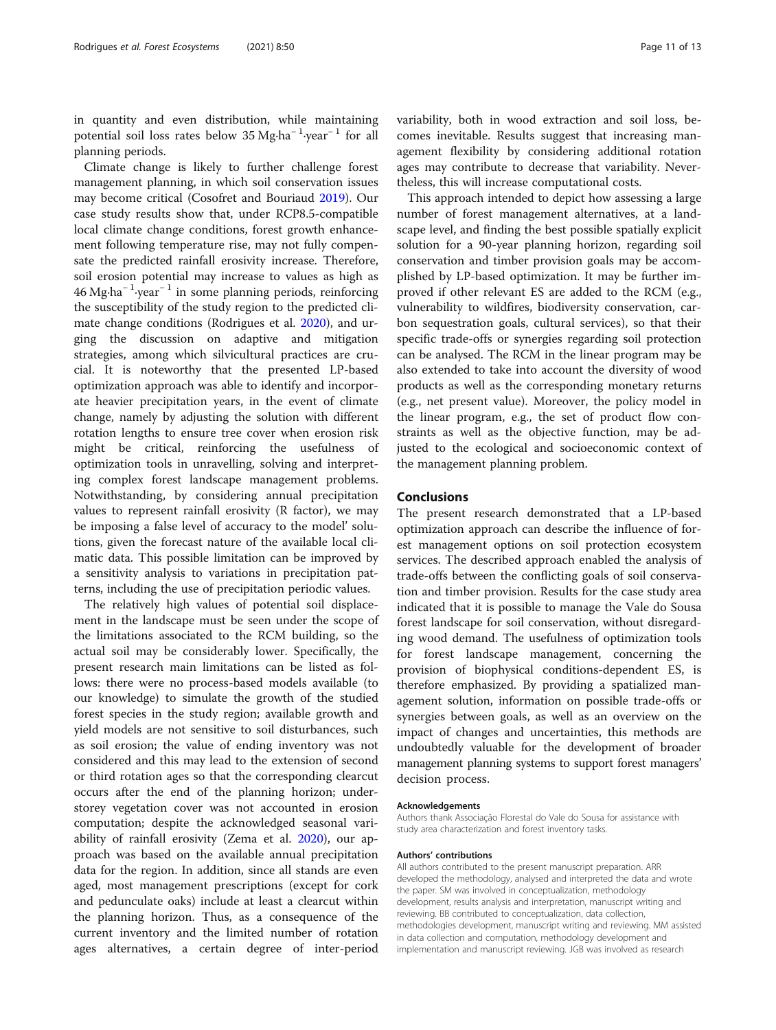in quantity and even distribution, while maintaining potential soil loss rates below 35 Mg⋅ha<sup>-1</sup>·year<sup>-1</sup> for all planning periods.

Climate change is likely to further challenge forest management planning, in which soil conservation issues may become critical (Cosofret and Bouriaud [2019\)](#page-11-0). Our case study results show that, under RCP8.5-compatible local climate change conditions, forest growth enhancement following temperature rise, may not fully compensate the predicted rainfall erosivity increase. Therefore, soil erosion potential may increase to values as high as 46 Mg∙ha<sup>−</sup> <sup>1</sup> ∙year<sup>−</sup> <sup>1</sup> in some planning periods, reinforcing the susceptibility of the study region to the predicted climate change conditions (Rodrigues et al. [2020](#page-12-0)), and urging the discussion on adaptive and mitigation strategies, among which silvicultural practices are crucial. It is noteworthy that the presented LP-based optimization approach was able to identify and incorporate heavier precipitation years, in the event of climate change, namely by adjusting the solution with different rotation lengths to ensure tree cover when erosion risk might be critical, reinforcing the usefulness of optimization tools in unravelling, solving and interpreting complex forest landscape management problems. Notwithstanding, by considering annual precipitation values to represent rainfall erosivity (R factor), we may be imposing a false level of accuracy to the model' solutions, given the forecast nature of the available local climatic data. This possible limitation can be improved by a sensitivity analysis to variations in precipitation patterns, including the use of precipitation periodic values.

The relatively high values of potential soil displacement in the landscape must be seen under the scope of the limitations associated to the RCM building, so the actual soil may be considerably lower. Specifically, the present research main limitations can be listed as follows: there were no process-based models available (to our knowledge) to simulate the growth of the studied forest species in the study region; available growth and yield models are not sensitive to soil disturbances, such as soil erosion; the value of ending inventory was not considered and this may lead to the extension of second or third rotation ages so that the corresponding clearcut occurs after the end of the planning horizon; understorey vegetation cover was not accounted in erosion computation; despite the acknowledged seasonal variability of rainfall erosivity (Zema et al. [2020](#page-12-0)), our approach was based on the available annual precipitation data for the region. In addition, since all stands are even aged, most management prescriptions (except for cork and pedunculate oaks) include at least a clearcut within the planning horizon. Thus, as a consequence of the current inventory and the limited number of rotation ages alternatives, a certain degree of inter-period variability, both in wood extraction and soil loss, becomes inevitable. Results suggest that increasing management flexibility by considering additional rotation ages may contribute to decrease that variability. Nevertheless, this will increase computational costs.

This approach intended to depict how assessing a large number of forest management alternatives, at a landscape level, and finding the best possible spatially explicit solution for a 90-year planning horizon, regarding soil conservation and timber provision goals may be accomplished by LP-based optimization. It may be further improved if other relevant ES are added to the RCM (e.g., vulnerability to wildfires, biodiversity conservation, carbon sequestration goals, cultural services), so that their specific trade-offs or synergies regarding soil protection can be analysed. The RCM in the linear program may be also extended to take into account the diversity of wood products as well as the corresponding monetary returns (e.g., net present value). Moreover, the policy model in the linear program, e.g., the set of product flow constraints as well as the objective function, may be adjusted to the ecological and socioeconomic context of the management planning problem.

# Conclusions

The present research demonstrated that a LP-based optimization approach can describe the influence of forest management options on soil protection ecosystem services. The described approach enabled the analysis of trade-offs between the conflicting goals of soil conservation and timber provision. Results for the case study area indicated that it is possible to manage the Vale do Sousa forest landscape for soil conservation, without disregarding wood demand. The usefulness of optimization tools for forest landscape management, concerning the provision of biophysical conditions-dependent ES, is therefore emphasized. By providing a spatialized management solution, information on possible trade-offs or synergies between goals, as well as an overview on the impact of changes and uncertainties, this methods are undoubtedly valuable for the development of broader management planning systems to support forest managers' decision process.

#### Acknowledgements

Authors thank Associação Florestal do Vale do Sousa for assistance with study area characterization and forest inventory tasks.

#### Authors' contributions

All authors contributed to the present manuscript preparation. ARR developed the methodology, analysed and interpreted the data and wrote the paper. SM was involved in conceptualization, methodology development, results analysis and interpretation, manuscript writing and reviewing. BB contributed to conceptualization, data collection, methodologies development, manuscript writing and reviewing. MM assisted in data collection and computation, methodology development and implementation and manuscript reviewing. JGB was involved as research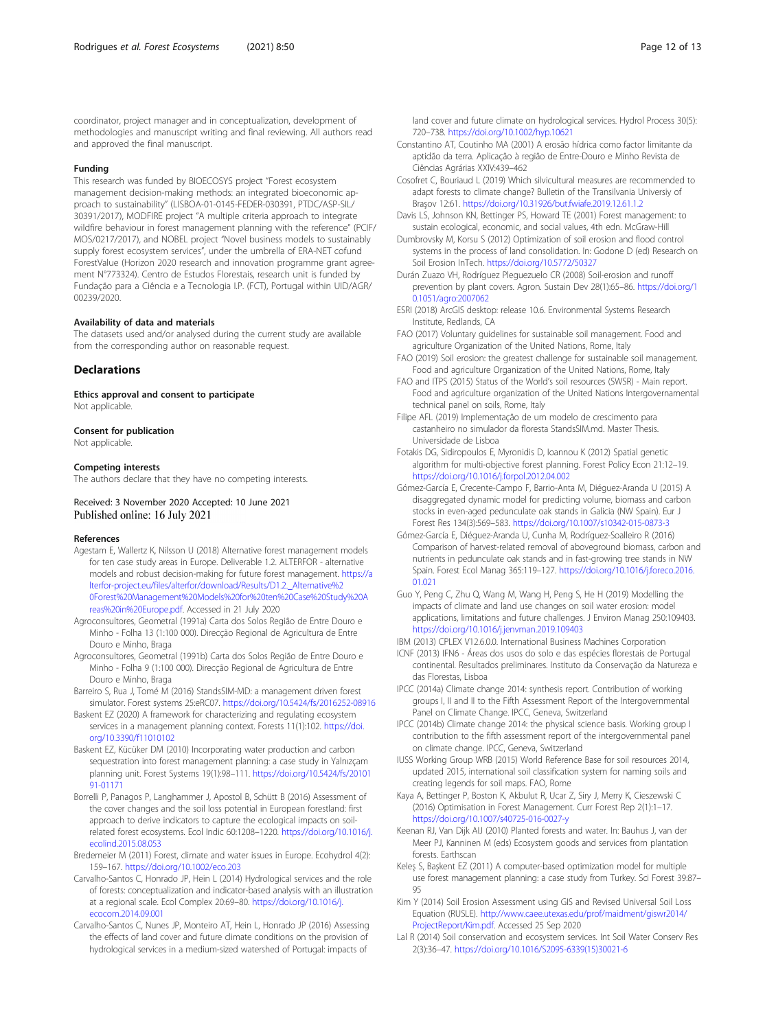<span id="page-11-0"></span>coordinator, project manager and in conceptualization, development of methodologies and manuscript writing and final reviewing. All authors read and approved the final manuscript.

#### Funding

This research was funded by BIOECOSYS project "Forest ecosystem management decision-making methods: an integrated bioeconomic approach to sustainability" (LISBOA-01-0145-FEDER-030391, PTDC/ASP-SIL/ 30391/2017), MODFIRE project "A multiple criteria approach to integrate wildfire behaviour in forest management planning with the reference" (PCIF/ MOS/0217/2017), and NOBEL project "Novel business models to sustainably supply forest ecosystem services", under the umbrella of ERA-NET cofund ForestValue (Horizon 2020 research and innovation programme grant agreement N°773324). Centro de Estudos Florestais, research unit is funded by Fundação para a Ciência e a Tecnologia I.P. (FCT), Portugal within UID/AGR/ 00239/2020.

#### Availability of data and materials

The datasets used and/or analysed during the current study are available from the corresponding author on reasonable request.

### **Declarations**

Ethics approval and consent to participate Not applicable.

Consent for publication Not applicable.

## Competing interests

The authors declare that they have no competing interests.

Received: 3 November 2020 Accepted: 10 June 2021 Published online: 16 July 2021

#### References

- Agestam E, Wallertz K, Nilsson U (2018) Alternative forest management models for ten case study areas in Europe. Deliverable 1.2. ALTERFOR - alternative models and robust decision-making for future forest management. [https://a](https://alterfor-project.eu/files/alterfor/download/Results/D1.2._Alternative%20Forest%20Management%20Models%20for%20ten%20Case%20Study%20Areas%20in%20Europe.pdf) [lterfor-project.eu/files/alterfor/download/Results/D1.2.\\_Alternative%2](https://alterfor-project.eu/files/alterfor/download/Results/D1.2._Alternative%20Forest%20Management%20Models%20for%20ten%20Case%20Study%20Areas%20in%20Europe.pdf) [0Forest%20Management%20Models%20for%20ten%20Case%20Study%20A](https://alterfor-project.eu/files/alterfor/download/Results/D1.2._Alternative%20Forest%20Management%20Models%20for%20ten%20Case%20Study%20Areas%20in%20Europe.pdf) [reas%20in%20Europe.pdf](https://alterfor-project.eu/files/alterfor/download/Results/D1.2._Alternative%20Forest%20Management%20Models%20for%20ten%20Case%20Study%20Areas%20in%20Europe.pdf). Accessed in 21 July 2020
- Agroconsultores, Geometral (1991a) Carta dos Solos Região de Entre Douro e Minho - Folha 13 (1:100 000). Direcção Regional de Agricultura de Entre Douro e Minho, Braga
- Agroconsultores, Geometral (1991b) Carta dos Solos Região de Entre Douro e Minho - Folha 9 (1:100 000). Direcção Regional de Agricultura de Entre Douro e Minho, Braga
- Barreiro S, Rua J, Tomé M (2016) StandsSIM-MD: a management driven forest simulator. Forest systems 25:eRC07. <https://doi.org/10.5424/fs/2016252-08916>
- Baskent EZ (2020) A framework for characterizing and regulating ecosystem services in a management planning context. Forests 11(1):102. [https://doi.](https://doi.org/10.3390/f11010102) [org/10.3390/f11010102](https://doi.org/10.3390/f11010102)
- Baskent EZ, Kücüker DM (2010) Incorporating water production and carbon sequestration into forest management planning: a case study in Yalnızçam planning unit. Forest Systems 19(1):98–111. [https://doi.org/10.5424/fs/20101](https://doi.org/10.5424/fs/2010191-01171) [91-01171](https://doi.org/10.5424/fs/2010191-01171)
- Borrelli P, Panagos P, Langhammer J, Apostol B, Schütt B (2016) Assessment of the cover changes and the soil loss potential in European forestland: first approach to derive indicators to capture the ecological impacts on soilrelated forest ecosystems. Ecol Indic 60:1208–1220. [https://doi.org/10.1016/j.](https://doi.org/10.1016/j.ecolind.2015.08.053) [ecolind.2015.08.053](https://doi.org/10.1016/j.ecolind.2015.08.053)
- Bredemeier M (2011) Forest, climate and water issues in Europe. Ecohydrol 4(2): 159–167. <https://doi.org/10.1002/eco.203>
- Carvalho-Santos C, Honrado JP, Hein L (2014) Hydrological services and the role of forests: conceptualization and indicator-based analysis with an illustration at a regional scale. Ecol Complex 20:69–80. [https://doi.org/10.1016/j.](https://doi.org/10.1016/j.ecocom.2014.09.001) [ecocom.2014.09.001](https://doi.org/10.1016/j.ecocom.2014.09.001)
- Carvalho-Santos C, Nunes JP, Monteiro AT, Hein L, Honrado JP (2016) Assessing the effects of land cover and future climate conditions on the provision of hydrological services in a medium-sized watershed of Portugal: impacts of

land cover and future climate on hydrological services. Hydrol Process 30(5): 720–738. <https://doi.org/10.1002/hyp.10621>

- Constantino AT, Coutinho MA (2001) A erosão hídrica como factor limitante da aptidão da terra. Aplicação à região de Entre-Douro e Minho Revista de Ciências Agrárias XXIV:439–462
- Cosofret C, Bouriaud L (2019) Which silvicultural measures are recommended to adapt forests to climate change? Bulletin of the Transilvania Universiy of Braşov 12:61. <https://doi.org/10.31926/but.fwiafe.2019.12.61.1.2>
- Davis LS, Johnson KN, Bettinger PS, Howard TE (2001) Forest management: to sustain ecological, economic, and social values, 4th edn. McGraw-Hill
- Dumbrovsky M, Korsu S (2012) Optimization of soil erosion and flood control systems in the process of land consolidation. In: Godone D (ed) Research on Soil Erosion InTech. <https://doi.org/10.5772/50327>

Durán Zuazo VH, Rodríguez Pleguezuelo CR (2008) Soil-erosion and runoff prevention by plant covers. Agron. Sustain Dev 28(1):65–86. [https://doi.org/1](https://doi.org/10.1051/agro:2007062) [0.1051/agro:2007062](https://doi.org/10.1051/agro:2007062)

- ESRI (2018) ArcGIS desktop: release 10.6. Environmental Systems Research Institute, Redlands, CA
- FAO (2017) Voluntary guidelines for sustainable soil management. Food and agriculture Organization of the United Nations, Rome, Italy
- FAO (2019) Soil erosion: the greatest challenge for sustainable soil management. Food and agriculture Organization of the United Nations, Rome, Italy
- FAO and ITPS (2015) Status of the World's soil resources (SWSR) Main report. Food and agriculture organization of the United Nations Intergovernamental technical panel on soils, Rome, Italy
- Filipe AFL (2019) Implementação de um modelo de crescimento para castanheiro no simulador da floresta StandsSIM.md. Master Thesis. Universidade de Lisboa
- Fotakis DG, Sidiropoulos E, Myronidis D, Ioannou K (2012) Spatial genetic algorithm for multi-objective forest planning. Forest Policy Econ 21:12–19. <https://doi.org/10.1016/j.forpol.2012.04.002>
- Gómez-García E, Crecente-Campo F, Barrio-Anta M, Diéguez-Aranda U (2015) A disaggregated dynamic model for predicting volume, biomass and carbon stocks in even-aged pedunculate oak stands in Galicia (NW Spain). Eur J Forest Res 134(3):569–583. <https://doi.org/10.1007/s10342-015-0873-3>
- Gómez-García E, Diéguez-Aranda U, Cunha M, Rodríguez-Soalleiro R (2016) Comparison of harvest-related removal of aboveground biomass, carbon and nutrients in pedunculate oak stands and in fast-growing tree stands in NW Spain. Forest Ecol Manag 365:119–127. [https://doi.org/10.1016/j.foreco.2016.](https://doi.org/10.1016/j.foreco.2016.01.021) [01.021](https://doi.org/10.1016/j.foreco.2016.01.021)
- Guo Y, Peng C, Zhu Q, Wang M, Wang H, Peng S, He H (2019) Modelling the impacts of climate and land use changes on soil water erosion: model applications, limitations and future challenges. J Environ Manag 250:109403. <https://doi.org/10.1016/j.jenvman.2019.109403>

IBM (2013) CPLEX V12.6.0.0. International Business Machines Corporation

- ICNF (2013) IFN6 Áreas dos usos do solo e das espécies florestais de Portugal continental. Resultados preliminares. Instituto da Conservação da Natureza e das Florestas, Lisboa
- IPCC (2014a) Climate change 2014: synthesis report. Contribution of working groups I, II and II to the Fifth Assessment Report of the Intergovernmental Panel on Climate Change. IPCC, Geneva, Switzerland
- IPCC (2014b) Climate change 2014: the physical science basis. Working group I contribution to the fifth assessment report of the intergovernmental panel on climate change. IPCC, Geneva, Switzerland
- IUSS Working Group WRB (2015) World Reference Base for soil resources 2014, updated 2015, international soil classification system for naming soils and creating legends for soil maps. FAO, Rome
- Kaya A, Bettinger P, Boston K, Akbulut R, Ucar Z, Siry J, Merry K, Cieszewski C (2016) Optimisation in Forest Management. Curr Forest Rep 2(1):1–17. <https://doi.org/10.1007/s40725-016-0027-y>
- Keenan RJ, Van Dijk AIJ (2010) Planted forests and water. In: Bauhus J, van der Meer PJ, Kanninen M (eds) Ecosystem goods and services from plantation forests. Earthscan
- Keleş S, Başkent EZ (2011) A computer-based optimization model for multiple use forest management planning: a case study from Turkey. Sci Forest 39:87– 95
- Kim Y (2014) Soil Erosion Assessment using GIS and Revised Universal Soil Loss Equation (RUSLE). [http://www.caee.utexas.edu/prof/maidment/giswr2014/](http://www.caee.utexas.edu/prof/maidment/giswr2014/ProjectReport/Kim.pdf) [ProjectReport/Kim.pdf](http://www.caee.utexas.edu/prof/maidment/giswr2014/ProjectReport/Kim.pdf). Accessed 25 Sep 2020
- Lal R (2014) Soil conservation and ecosystem services. Int Soil Water Conserv Res 2(3):36–47. [https://doi.org/10.1016/S2095-6339\(15\)30021-6](https://doi.org/10.1016/S2095-6339(15)30021-6)